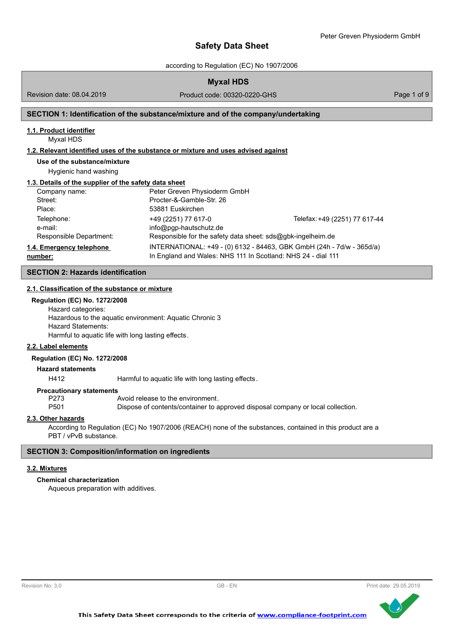according to Regulation (EC) No 1907/2006

Revision date: 08.04.2019

Product code: 00320-0220-GHS Product code: 00320-0220-GHS

## **SECTION 1: Identification of the substance/mixture and of the company/undertaking**

#### **1.1. Product identifier**

Myxal HDS

#### **1.2. Relevant identified uses of the substance or mixture and uses advised against**

**Use of the substance/mixture**

Hygienic hand washing

#### **1.3. Details of the supplier of the safety data sheet**

| Company name:            | Peter Greven Physioderm GmbH                                 |                                                                       |
|--------------------------|--------------------------------------------------------------|-----------------------------------------------------------------------|
| Street:                  | Procter-&-Gamble-Str. 26                                     |                                                                       |
| Place:                   | 53881 Euskirchen                                             |                                                                       |
| Telephone:               | +49 (2251) 77 617-0                                          | Telefax: +49 (2251) 77 617-44                                         |
| e-mail:                  | $info@pqp-hautschutz.de$                                     |                                                                       |
| Responsible Department:  | Responsible for the safety data sheet: sds@gbk-ingelheim.de  |                                                                       |
| 1.4. Emergency telephone |                                                              | INTERNATIONAL: +49 - (0) 6132 - 84463, GBK GmbH (24h - 7d/w - 365d/a) |
| number:                  | In England and Wales: NHS 111 In Scotland: NHS 24 - dial 111 |                                                                       |

## **SECTION 2: Hazards identification**

## **2.1. Classification of the substance or mixture**

## **Regulation (EC) No. 1272/2008**

Hazard categories: Hazardous to the aquatic environment: Aquatic Chronic 3 Hazard Statements: Harmful to aquatic life with long lasting effects.

## **2.2. Label elements**

#### **Regulation (EC) No. 1272/2008**

**Hazard statements**

H412 Harmful to aquatic life with long lasting effects.

#### **Precautionary statements**

P273 Avoid release to the environment.

P501 Dispose of contents/container to approved disposal company or local collection.

#### **2.3. Other hazards**

According to Regulation (EC) No 1907/2006 (REACH) none of the substances, contained in this product are a PBT / vPvB substance.

## **SECTION 3: Composition/information on ingredients**

# **3.2. Mixtures**

# **Chemical characterization**

Aqueous preparation with additives.



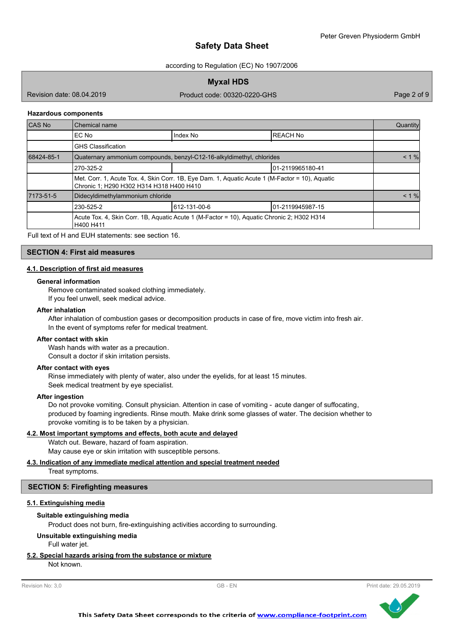according to Regulation (EC) No 1907/2006

**Myxal HDS**

Revision date: 08.04.2019

Product code: 00320-0220-GHS Product code: 00320-0220-GHS

#### **Hazardous components**

| CAS No     | Chemical name                            |                                                                                                 |                   | Quantity |
|------------|------------------------------------------|-------------------------------------------------------------------------------------------------|-------------------|----------|
|            | EC No                                    | Index No                                                                                        | <b>IREACH No</b>  |          |
|            | <b>GHS Classification</b>                |                                                                                                 |                   |          |
| 68424-85-1 |                                          | Quaternary ammonium compounds, benzyl-C12-16-alkyldimethyl, chlorides                           |                   | $< 1 \%$ |
|            | 270-325-2                                | 101-2119965180-41                                                                               |                   |          |
|            | Chronic 1; H290 H302 H314 H318 H400 H410 | Met. Corr. 1, Acute Tox. 4, Skin Corr. 1B, Eye Dam. 1, Aquatic Acute 1 (M-Factor = 10), Aquatic |                   |          |
| 7173-51-5  | Didecyldimethylammonium chloride         |                                                                                                 |                   | $< 1 \%$ |
|            | 230-525-2                                | 612-131-00-6                                                                                    | 101-2119945987-15 |          |
|            | H400 H411                                | Acute Tox. 4, Skin Corr. 1B, Aquatic Acute 1 (M-Factor = 10), Aquatic Chronic 2; H302 H314      |                   |          |

Full text of H and EUH statements: see section 16.

## **SECTION 4: First aid measures**

#### **4.1. Description of first aid measures**

#### **General information**

Remove contaminated soaked clothing immediately.

If you feel unwell, seek medical advice.

#### **After inhalation**

After inhalation of combustion gases or decomposition products in case of fire, move victim into fresh air. In the event of symptoms refer for medical treatment.

#### **After contact with skin**

Wash hands with water as a precaution. Consult a doctor if skin irritation persists.

# **After contact with eyes**

Rinse immediately with plenty of water, also under the eyelids, for at least 15 minutes. Seek medical treatment by eye specialist.

#### **After ingestion**

Do not provoke vomiting. Consult physician. Attention in case of vomiting - acute danger of suffocating, produced by foaming ingredients. Rinse mouth. Make drink some glasses of water. The decision whether to provoke vomiting is to be taken by a physician.

#### **4.2. Most important symptoms and effects, both acute and delayed**

Watch out. Beware, hazard of foam aspiration. May cause eye or skin irritation with susceptible persons.

# **4.3. Indication of any immediate medical attention and special treatment needed**

Treat symptoms.

#### **SECTION 5: Firefighting measures**

#### **5.1. Extinguishing media**

#### **Suitable extinguishing media**

Product does not burn, fire-extinguishing activities according to surrounding.

#### **Unsuitable extinguishing media**

Full water jet.

# **5.2. Special hazards arising from the substance or mixture**

Not known.

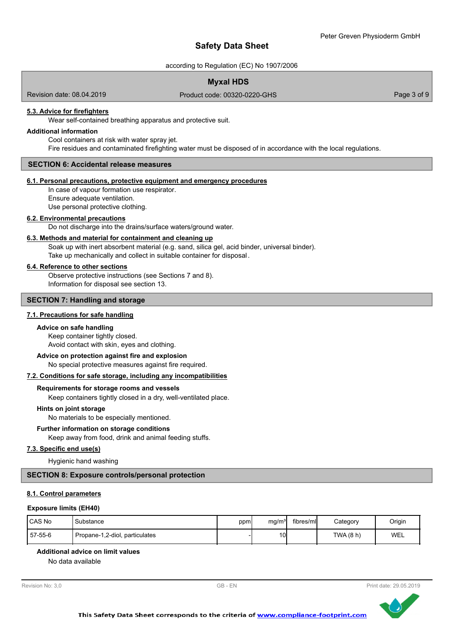according to Regulation (EC) No 1907/2006

# **Myxal HDS**

Revision date: 08.04.2019

Product code: 00320-0220-GHS Product code: 00320-0220-GHS

# **5.3. Advice for firefighters**

Wear self-contained breathing apparatus and protective suit.

#### **Additional information**

Cool containers at risk with water spray jet. Fire residues and contaminated firefighting water must be disposed of in accordance with the local regulations.

#### **SECTION 6: Accidental release measures**

#### **6.1. Personal precautions, protective equipment and emergency procedures**

In case of vapour formation use respirator. Ensure adequate ventilation. Use personal protective clothing.

#### **6.2. Environmental precautions**

Do not discharge into the drains/surface waters/ground water.

#### **6.3. Methods and material for containment and cleaning up**

Soak up with inert absorbent material (e.g. sand, silica gel, acid binder, universal binder). Take up mechanically and collect in suitable container for disposal .

#### **6.4. Reference to other sections**

Observe protective instructions (see Sections 7 and 8). Information for disposal see section 13.

#### **SECTION 7: Handling and storage**

#### **7.1. Precautions for safe handling**

#### **Advice on safe handling**

Keep container tightly closed. Avoid contact with skin, eyes and clothing.

#### **Advice on protection against fire and explosion**

No special protective measures against fire required.

#### **7.2. Conditions for safe storage, including any incompatibilities**

#### **Requirements for storage rooms and vessels**

Keep containers tightly closed in a dry, well-ventilated place.

#### **Hints on joint storage**

No materials to be especially mentioned.

#### **Further information on storage conditions**

Keep away from food, drink and animal feeding stuffs.

## **7.3. Specific end use(s)**

Hygienic hand washing

#### **SECTION 8: Exposure controls/personal protection**

## **8.1. Control parameters**

#### **Exposure limits (EH40)**

| CAS No  | Substance                      | ppm | mq/m <sup>3</sup> | fibres/ml | Category  | Origin |
|---------|--------------------------------|-----|-------------------|-----------|-----------|--------|
| 57-55-6 | Propane-1,2-diol, particulates |     | 10 <sup>1</sup>   |           | TWA (8 h) | WEL    |

#### **Additional advice on limit values**

No data available

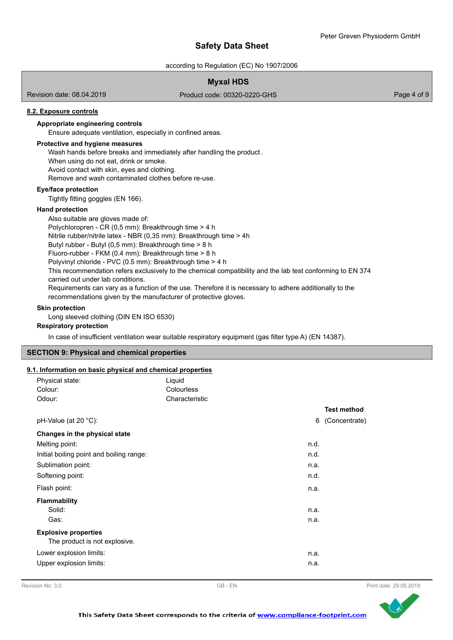according to Regulation (EC) No 1907/2006

# **Myxal HDS**

Revision date: 08.04.2019

Product code: 00320-0220-GHS Product code: 00320-0220-GHS

### **8.2. Exposure controls**

# **Appropriate engineering controls**

Ensure adequate ventilation, especially in confined areas.

#### **Protective and hygiene measures**

Wash hands before breaks and immediately after handling the product . When using do not eat, drink or smoke.

Avoid contact with skin, eyes and clothing.

Remove and wash contaminated clothes before re-use.

#### **Eye/face protection**

Tightly fitting goggles (EN 166).

#### **Hand protection**

Also suitable are gloves made of: Polychloropren - CR (0,5 mm): Breakthrough time > 4 h Nitrile rubber/nitrile latex - NBR (0,35 mm): Breakthrough time > 4h Butyl rubber - Butyl (0,5 mm): Breakthrough time > 8 h Fluoro-rubber - FKM (0.4 mm): Breakthrough time > 8 h Polyvinyl chloride - PVC (0.5 mm): Breakthrough time > 4 h This recommendation refers exclusively to the chemical compatibility and the lab test conforming to EN 374 carried out under lab conditions. Requirements can vary as a function of the use. Therefore it is necessary to adhere additionally to the recommendations given by the manufacturer of protective gloves.

#### **Skin protection**

Long sleeved clothing (DIN EN ISO 6530)

#### **Respiratory protection**

In case of insufficient ventilation wear suitable respiratory equipment (gas filter type A) (EN 14387).

#### **SECTION 9: Physical and chemical properties**

#### **9.1. Information on basic physical and chemical properties**

| Physical state:                                              | Liquid         |      |                    |
|--------------------------------------------------------------|----------------|------|--------------------|
| Colour:                                                      | Colourless     |      |                    |
| Odour:                                                       | Characteristic |      |                    |
|                                                              |                |      | <b>Test method</b> |
| pH-Value (at 20 °C):                                         |                | 6    | (Concentrate)      |
| Changes in the physical state                                |                |      |                    |
| Melting point:                                               |                | n.d. |                    |
| Initial boiling point and boiling range:                     |                | n.d. |                    |
| Sublimation point:                                           |                | n.a. |                    |
| Softening point:                                             |                | n.d. |                    |
| Flash point:                                                 |                | n.a. |                    |
| <b>Flammability</b>                                          |                |      |                    |
| Solid:                                                       |                | n.a. |                    |
| Gas:                                                         |                | n.a. |                    |
| <b>Explosive properties</b><br>The product is not explosive. |                |      |                    |
| Lower explosion limits:                                      |                | n.a. |                    |
| Upper explosion limits:                                      |                | n.a. |                    |

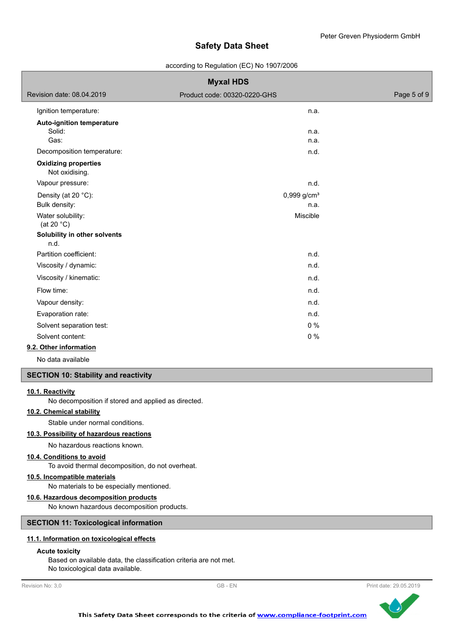#### according to Regulation (EC) No 1907/2006

| <b>Myxal HDS</b>                              |                              |             |  |
|-----------------------------------------------|------------------------------|-------------|--|
| Revision date: 08.04.2019                     | Product code: 00320-0220-GHS | Page 5 of 9 |  |
| Ignition temperature:                         | n.a.                         |             |  |
| <b>Auto-ignition temperature</b>              |                              |             |  |
| Solid:                                        | n.a.                         |             |  |
| Gas:                                          | n.a.                         |             |  |
| Decomposition temperature:                    | n.d.                         |             |  |
| <b>Oxidizing properties</b><br>Not oxidising. |                              |             |  |
| Vapour pressure:                              | n.d.                         |             |  |
| Density (at 20 °C):                           | $0,999$ g/cm <sup>3</sup>    |             |  |
| Bulk density:                                 | n.a.                         |             |  |
| Water solubility:<br>(at 20 $^{\circ}$ C)     | Miscible                     |             |  |
| Solubility in other solvents<br>n.d.          |                              |             |  |
| Partition coefficient:                        | n.d.                         |             |  |
| Viscosity / dynamic:                          | n.d.                         |             |  |
| Viscosity / kinematic:                        | n.d.                         |             |  |
| Flow time:                                    | n.d.                         |             |  |
| Vapour density:                               | n.d.                         |             |  |
| Evaporation rate:                             | n.d.                         |             |  |
| Solvent separation test:                      | 0%                           |             |  |
| Solvent content:                              | 0%                           |             |  |
| 0.0. Other information                        |                              |             |  |

#### **9.2. Other information**

No data available

#### **SECTION 10: Stability and reactivity**

#### **10.1. Reactivity**

No decomposition if stored and applied as directed.

# **10.2. Chemical stability**

Stable under normal conditions.

#### **10.3. Possibility of hazardous reactions**

No hazardous reactions known.

# **10.4. Conditions to avoid**

To avoid thermal decomposition, do not overheat.

## **10.5. Incompatible materials**

No materials to be especially mentioned.

#### **10.6. Hazardous decomposition products**

No known hazardous decomposition products.

#### **SECTION 11: Toxicological information**

# **11.1. Information on toxicological effects**

#### **Acute toxicity**

Based on available data, the classification criteria are not met. No toxicological data available.



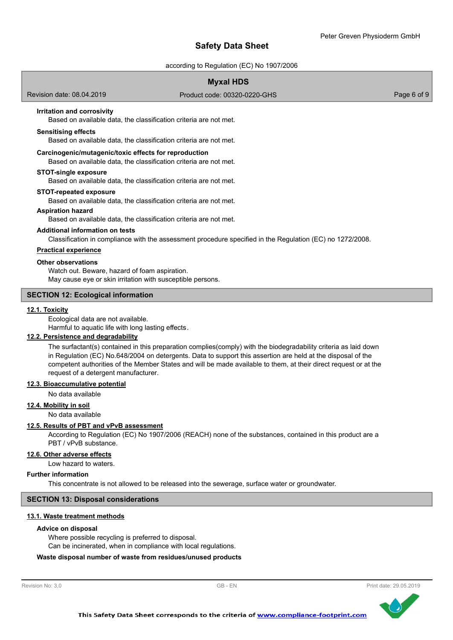according to Regulation (EC) No 1907/2006

Product code: 00320-0220-GHS Product code: 00320-0220-GHS

# **Myxal HDS**

Revision date: 08.04.2019

# **Irritation and corrosivity**

Based on available data, the classification criteria are not met.

#### **Sensitising effects**

Based on available data, the classification criteria are not met.

#### **Carcinogenic/mutagenic/toxic effects for reproduction**

Based on available data, the classification criteria are not met.

#### **STOT-single exposure**

Based on available data, the classification criteria are not met.

#### **STOT-repeated exposure**

Based on available data, the classification criteria are not met.

#### **Aspiration hazard**

Based on available data, the classification criteria are not met.

#### **Additional information on tests**

Classification in compliance with the assessment procedure specified in the Regulation (EC) no 1272/2008.

## **Practical experience**

# **Other observations**

Watch out. Beware, hazard of foam aspiration. May cause eye or skin irritation with susceptible persons.

# **SECTION 12: Ecological information**

#### **12.1. Toxicity**

Ecological data are not available.

# Harmful to aquatic life with long lasting effects.

**12.2. Persistence and degradability**

The surfactant(s) contained in this preparation complies(comply) with the biodegradability criteria as laid down in Regulation (EC) No.648/2004 on detergents. Data to support this assertion are held at the disposal of the competent authorities of the Member States and will be made available to them, at their direct request or at the request of a detergent manufacturer.

**12.3. Bioaccumulative potential**

#### No data available

**12.4. Mobility in soil**

No data available

#### **12.5. Results of PBT and vPvB assessment**

According to Regulation (EC) No 1907/2006 (REACH) none of the substances, contained in this product are a PBT / vPvB substance.

#### **12.6. Other adverse effects**

Low hazard to waters.

#### **Further information**

This concentrate is not allowed to be released into the sewerage, surface water or groundwater.

#### **SECTION 13: Disposal considerations**

#### **13.1. Waste treatment methods**

#### **Advice on disposal**

Where possible recycling is preferred to disposal. Can be incinerated, when in compliance with local regulations.

#### **Waste disposal number of waste from residues/unused products**



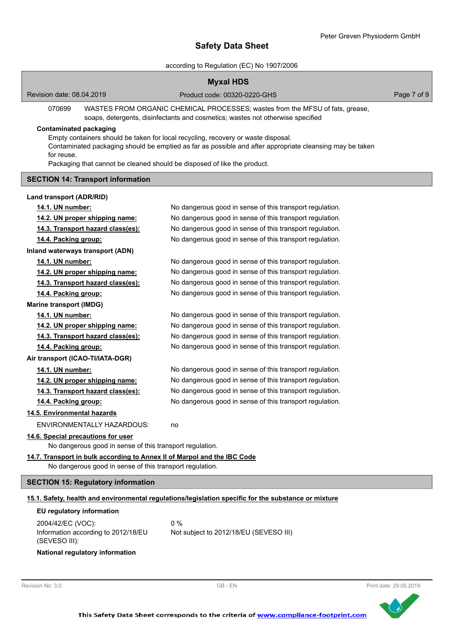according to Regulation (EC) No 1907/2006

|                                                                                        | <b>Myxal HDS</b>                                                                                                                                                                              |                        |
|----------------------------------------------------------------------------------------|-----------------------------------------------------------------------------------------------------------------------------------------------------------------------------------------------|------------------------|
| Revision date: 08.04.2019                                                              | Product code: 00320-0220-GHS                                                                                                                                                                  | Page 7 of 9            |
| 070699                                                                                 | WASTES FROM ORGANIC CHEMICAL PROCESSES; wastes from the MFSU of fats, grease,<br>soaps, detergents, disinfectants and cosmetics; wastes not otherwise specified                               |                        |
| <b>Contaminated packaging</b>                                                          |                                                                                                                                                                                               |                        |
|                                                                                        | Empty containers should be taken for local recycling, recovery or waste disposal.<br>Contaminated packaging should be emptied as far as possible and after appropriate cleansing may be taken |                        |
| for reuse.<br>Packaging that cannot be cleaned should be disposed of like the product. |                                                                                                                                                                                               |                        |
| <b>SECTION 14: Transport information</b>                                               |                                                                                                                                                                                               |                        |
|                                                                                        |                                                                                                                                                                                               |                        |
| Land transport (ADR/RID)                                                               |                                                                                                                                                                                               |                        |
| 14.1. UN number:                                                                       | No dangerous good in sense of this transport regulation.                                                                                                                                      |                        |
| 14.2. UN proper shipping name:                                                         | No dangerous good in sense of this transport regulation.                                                                                                                                      |                        |
| 14.3. Transport hazard class(es):                                                      | No dangerous good in sense of this transport regulation.                                                                                                                                      |                        |
| 14.4. Packing group:                                                                   | No dangerous good in sense of this transport regulation.                                                                                                                                      |                        |
| Inland waterways transport (ADN)                                                       |                                                                                                                                                                                               |                        |
| 14.1. UN number:                                                                       | No dangerous good in sense of this transport regulation.                                                                                                                                      |                        |
| 14.2. UN proper shipping name:                                                         | No dangerous good in sense of this transport regulation.                                                                                                                                      |                        |
| 14.3. Transport hazard class(es):                                                      | No dangerous good in sense of this transport regulation.                                                                                                                                      |                        |
| 14.4. Packing group:                                                                   | No dangerous good in sense of this transport regulation.                                                                                                                                      |                        |
| <b>Marine transport (IMDG)</b>                                                         |                                                                                                                                                                                               |                        |
| 14.1. UN number:                                                                       | No dangerous good in sense of this transport regulation.                                                                                                                                      |                        |
| 14.2. UN proper shipping name:                                                         | No dangerous good in sense of this transport regulation.                                                                                                                                      |                        |
| 14.3. Transport hazard class(es):                                                      | No dangerous good in sense of this transport regulation.                                                                                                                                      |                        |
| 14.4. Packing group:                                                                   | No dangerous good in sense of this transport regulation.                                                                                                                                      |                        |
| Air transport (ICAO-TI/IATA-DGR)                                                       |                                                                                                                                                                                               |                        |
| 14.1. UN number:                                                                       | No dangerous good in sense of this transport regulation.                                                                                                                                      |                        |
| 14.2. UN proper shipping name:                                                         | No dangerous good in sense of this transport regulation.                                                                                                                                      |                        |
| 14.3. Transport hazard class(es):                                                      | No dangerous good in sense of this transport regulation.                                                                                                                                      |                        |
| 14.4. Packing group:                                                                   | No dangerous good in sense of this transport regulation.                                                                                                                                      |                        |
| 14.5. Environmental hazards                                                            |                                                                                                                                                                                               |                        |
| <b>ENVIRONMENTALLY HAZARDOUS:</b>                                                      | no                                                                                                                                                                                            |                        |
| 14.6. Special precautions for user                                                     |                                                                                                                                                                                               |                        |
| No dangerous good in sense of this transport regulation.                               |                                                                                                                                                                                               |                        |
| 14.7. Transport in bulk according to Annex II of Marpol and the IBC Code               |                                                                                                                                                                                               |                        |
| No dangerous good in sense of this transport regulation.                               |                                                                                                                                                                                               |                        |
| <b>SECTION 15: Regulatory information</b>                                              |                                                                                                                                                                                               |                        |
|                                                                                        | 15.1. Safety, health and environmental regulations/legislation specific for the substance or mixture                                                                                          |                        |
| EU regulatory information                                                              |                                                                                                                                                                                               |                        |
| 2004/42/EC (VOC):                                                                      | $0\%$                                                                                                                                                                                         |                        |
| Information according to 2012/18/EU<br>(SEVESO III):                                   | Not subject to 2012/18/EU (SEVESO III)                                                                                                                                                        |                        |
| National regulatory information                                                        |                                                                                                                                                                                               |                        |
|                                                                                        |                                                                                                                                                                                               |                        |
| Revision No: 3,0                                                                       | GB-EN                                                                                                                                                                                         | Print date: 29.05.2019 |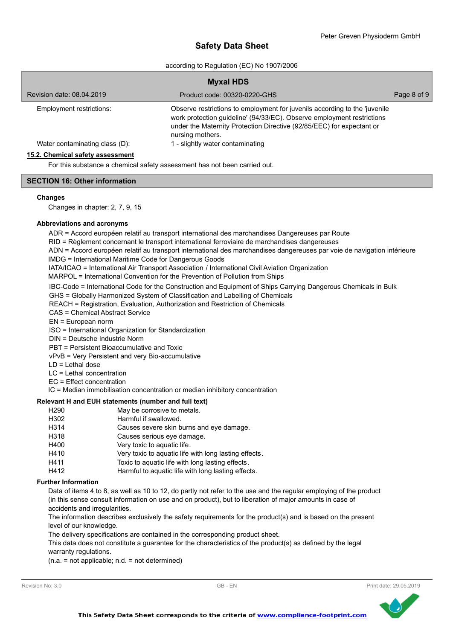according to Regulation (EC) No 1907/2006

| <b>Myxal HDS</b>                 |                                                                                                                                                                                                                                                   |             |  |
|----------------------------------|---------------------------------------------------------------------------------------------------------------------------------------------------------------------------------------------------------------------------------------------------|-------------|--|
| Revision date: 08.04.2019        | Product code: 00320-0220-GHS                                                                                                                                                                                                                      | Page 8 of 9 |  |
| Employment restrictions:         | Observe restrictions to employment for juvenils according to the 'juvenile<br>work protection guideline' (94/33/EC). Observe employment restrictions<br>under the Maternity Protection Directive (92/85/EEC) for expectant or<br>nursing mothers. |             |  |
| Water contaminating class (D):   | 1 - slightly water contaminating                                                                                                                                                                                                                  |             |  |
| 15.2. Chemical safety assessment |                                                                                                                                                                                                                                                   |             |  |

For this substance a chemical safety assessment has not been carried out.

### **SECTION 16: Other information**

#### **Changes**

Changes in chapter: 2, 7, 9, 15

### **Abbreviations and acronyms**

ADR = Accord européen relatif au transport international des marchandises Dangereuses par Route

RID = Règlement concernant le transport international ferroviaire de marchandises dangereuses

ADN = Accord européen relatif au transport international des marchandises dangereuses par voie de navigation intérieure

IMDG = International Maritime Code for Dangerous Goods

IATA/ICAO = International Air Transport Association / International Civil Aviation Organization

MARPOL = International Convention for the Prevention of Pollution from Ships

IBC-Code = International Code for the Construction and Equipment of Ships Carrying Dangerous Chemicals in Bulk

GHS = Globally Harmonized System of Classification and Labelling of Chemicals

REACH = Registration, Evaluation, Authorization and Restriction of Chemicals

CAS = Chemical Abstract Service

EN = European norm

ISO = International Organization for Standardization

DIN = Deutsche Industrie Norm

PBT = Persistent Bioaccumulative and Toxic

vPvB = Very Persistent and very Bio-accumulative

LD = Lethal dose

LC = Lethal concentration

EC = Effect concentration

IC = Median immobilisation concentration or median inhibitory concentration

#### **Relevant H and EUH statements (number and full text)**

| H <sub>290</sub> | May be corrosive to metals.                           |
|------------------|-------------------------------------------------------|
| H302             | Harmful if swallowed.                                 |
| H314             | Causes severe skin burns and eye damage.              |
| H318             | Causes serious eye damage.                            |
| H400             | Very toxic to aquatic life.                           |
| H410             | Very toxic to aquatic life with long lasting effects. |
| H411             | Toxic to aquatic life with long lasting effects.      |
| H412             | Harmful to aquatic life with long lasting effects.    |
|                  |                                                       |

#### **Further Information**

Data of items 4 to 8, as well as 10 to 12, do partly not refer to the use and the regular employing of the product (in this sense consult information on use and on product), but to liberation of major amounts in case of accidents and irregularities.

The information describes exclusively the safety requirements for the product(s) and is based on the present level of our knowledge.

The delivery specifications are contained in the corresponding product sheet.

This data does not constitute a guarantee for the characteristics of the product(s) as defined by the legal warranty regulations.

(n.a. = not applicable; n.d. = not determined)